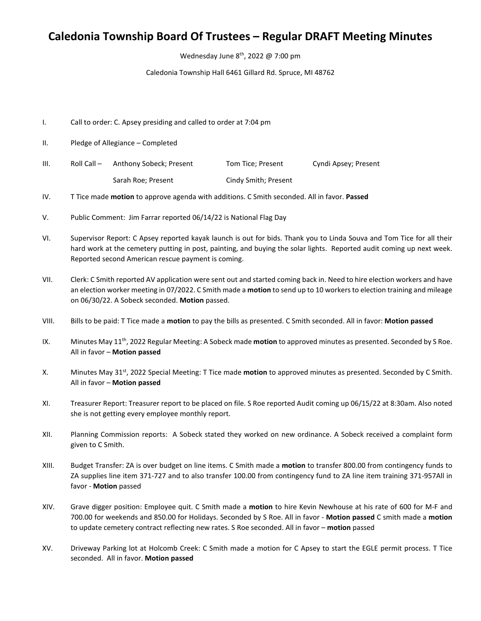## **Caledonia Township Board Of Trustees – Regular DRAFT Meeting Minutes**

Wednesday June 8<sup>th</sup>, 2022 @ 7:00 pm

Caledonia Township Hall 6461 Gillard Rd. Spruce, MI 48762

- I. Call to order: C. Apsey presiding and called to order at 7:04 pm
- II. Pledge of Allegiance Completed
- III. Roll Call Anthony Sobeck; Present Tom Tice; Present Cyndi Apsey; Present Sarah Roe; Present Cindy Smith; Present
- IV. T Tice made **motion** to approve agenda with additions. C Smith seconded. All in favor. **Passed**
- V. Public Comment: Jim Farrar reported 06/14/22 is National Flag Day
- VI. Supervisor Report: C Apsey reported kayak launch is out for bids. Thank you to Linda Souva and Tom Tice for all their hard work at the cemetery putting in post, painting, and buying the solar lights. Reported audit coming up next week. Reported second American rescue payment is coming.
- VII. Clerk: C Smith reported AV application were sent out and started coming back in. Need to hire election workers and have an election worker meeting in 07/2022. C Smith made a **motion** to send up to 10 workers to election training and mileage on 06/30/22. A Sobeck seconded. **Motion** passed.
- VIII. Bills to be paid: T Tice made a **motion** to pay the bills as presented. C Smith seconded. All in favor: **Motion passed**
- IX. Minutes May 11th, 2022 Regular Meeting: A Sobeck made **motion** to approved minutes as presented. Seconded by S Roe. All in favor – **Motion passed**
- X. Minutes May 31<sup>st</sup>, 2022 Special Meeting: T Tice made **motion** to approved minutes as presented. Seconded by C Smith. All in favor – **Motion passed**
- XI. Treasurer Report: Treasurer report to be placed on file. S Roe reported Audit coming up 06/15/22 at 8:30am. Also noted she is not getting every employee monthly report.
- XII. Planning Commission reports: A Sobeck stated they worked on new ordinance. A Sobeck received a complaint form given to C Smith.
- XIII. Budget Transfer: ZA is over budget on line items. C Smith made a **motion** to transfer 800.00 from contingency funds to ZA supplies line item 371-727 and to also transfer 100.00 from contingency fund to ZA line item training 371-957All in favor - **Motion** passed
- XIV. Grave digger position: Employee quit. C Smith made a **motion** to hire Kevin Newhouse at his rate of 600 for M-F and 700.00 for weekends and 850.00 for Holidays. Seconded by S Roe. All in favor - **Motion passed** C smith made a **motion**  to update cemetery contract reflecting new rates. S Roe seconded. All in favor – **motion** passed
- XV. Driveway Parking lot at Holcomb Creek: C Smith made a motion for C Apsey to start the EGLE permit process. T Tice seconded. All in favor. **Motion passed**